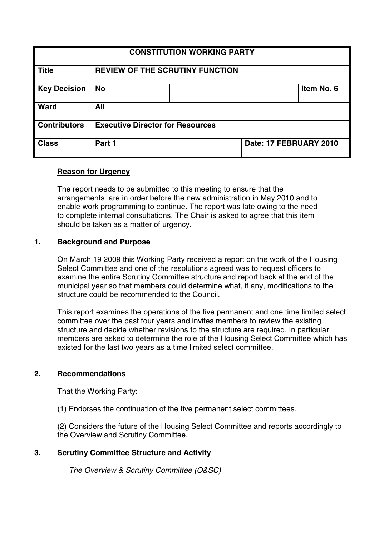| <b>CONSTITUTION WORKING PARTY</b> |                                         |  |                        |            |
|-----------------------------------|-----------------------------------------|--|------------------------|------------|
| <b>Title</b>                      | <b>REVIEW OF THE SCRUTINY FUNCTION</b>  |  |                        |            |
| <b>Key Decision</b>               | <b>No</b>                               |  |                        | Item No. 6 |
| <b>Ward</b>                       | All                                     |  |                        |            |
| <b>Contributors</b>               | <b>Executive Director for Resources</b> |  |                        |            |
| <b>Class</b>                      | Part 1                                  |  | Date: 17 FEBRUARY 2010 |            |

## **Reason for Urgency**

The report needs to be submitted to this meeting to ensure that the arrangements are in order before the new administration in May 2010 and to enable work programming to continue. The report was late owing to the need to complete internal consultations. The Chair is asked to agree that this item should be taken as a matter of urgency.

## **1. Background and Purpose**

On March 19 2009 this Working Party received a report on the work of the Housing Select Committee and one of the resolutions agreed was to request officers to examine the entire Scrutiny Committee structure and report back at the end of the municipal year so that members could determine what, if any, modifications to the structure could be recommended to the Council.

This report examines the operations of the five permanent and one time limited select committee over the past four years and invites members to review the existing structure and decide whether revisions to the structure are required. In particular members are asked to determine the role of the Housing Select Committee which has existed for the last two years as a time limited select committee.

## **2. Recommendations**

That the Working Party:

(1) Endorses the continuation of the five permanent select committees.

(2) Considers the future of the Housing Select Committee and reports accordingly to the Overview and Scrutiny Committee.

# **3. Scrutiny Committee Structure and Activity**

The Overview & Scrutiny Committee (O&SC)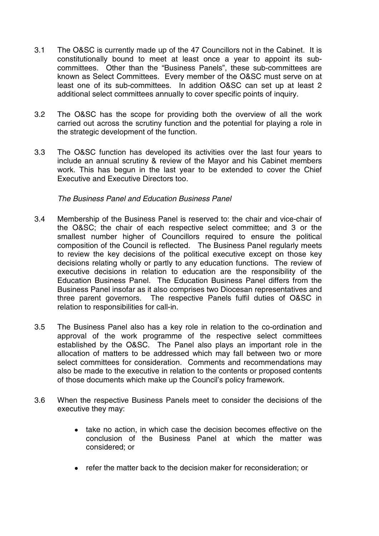- 3.1 The O&SC is currently made up of the 47 Councillors not in the Cabinet. It is constitutionally bound to meet at least once a year to appoint its subcommittees. Other than the "Business Panels", these sub-committees are known as Select Committees. Every member of the O&SC must serve on at least one of its sub-committees. In addition O&SC can set up at least 2 additional select committees annually to cover specific points of inquiry.
- 3.2 The O&SC has the scope for providing both the overview of all the work carried out across the scrutiny function and the potential for playing a role in the strategic development of the function.
- 3.3 The O&SC function has developed its activities over the last four years to include an annual scrutiny & review of the Mayor and his Cabinet members work. This has begun in the last year to be extended to cover the Chief Executive and Executive Directors too.

## The Business Panel and Education Business Panel

- 3.4 Membership of the Business Panel is reserved to: the chair and vice-chair of the O≻ the chair of each respective select committee; and 3 or the smallest number higher of Councillors required to ensure the political composition of the Council is reflected. The Business Panel regularly meets to review the key decisions of the political executive except on those key decisions relating wholly or partly to any education functions. The review of executive decisions in relation to education are the responsibility of the Education Business Panel. The Education Business Panel differs from the Business Panel insofar as it also comprises two Diocesan representatives and three parent governors. The respective Panels fulfil duties of O&SC in relation to responsibilities for call-in.
- 3.5 The Business Panel also has a key role in relation to the co-ordination and approval of the work programme of the respective select committees established by the O&SC. The Panel also plays an important role in the allocation of matters to be addressed which may fall between two or more select committees for consideration. Comments and recommendations may also be made to the executive in relation to the contents or proposed contents of those documents which make up the Council's policy framework.
- 3.6 When the respective Business Panels meet to consider the decisions of the executive they may:
	- take no action, in which case the decision becomes effective on the conclusion of the Business Panel at which the matter was considered; or
	- refer the matter back to the decision maker for reconsideration; or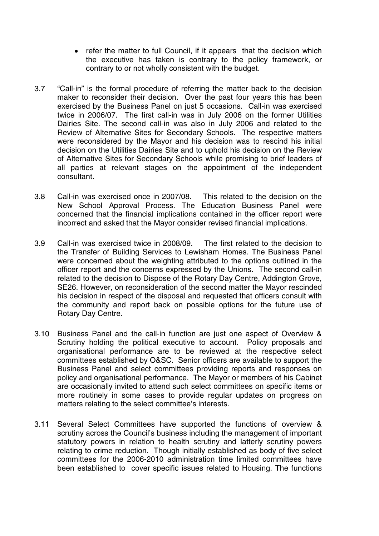- refer the matter to full Council, if it appears that the decision which the executive has taken is contrary to the policy framework, or contrary to or not wholly consistent with the budget.
- 3.7 "Call-in" is the formal procedure of referring the matter back to the decision maker to reconsider their decision. Over the past four years this has been exercised by the Business Panel on just 5 occasions. Call-in was exercised twice in 2006/07. The first call-in was in July 2006 on the former Utilities Dairies Site. The second call-in was also in July 2006 and related to the Review of Alternative Sites for Secondary Schools. The respective matters were reconsidered by the Mayor and his decision was to rescind his initial decision on the Utilities Dairies Site and to uphold his decision on the Review of Alternative Sites for Secondary Schools while promising to brief leaders of all parties at relevant stages on the appointment of the independent consultant.
- 3.8 Call-in was exercised once in 2007/08. This related to the decision on the New School Approval Process. The Education Business Panel were concerned that the financial implications contained in the officer report were incorrect and asked that the Mayor consider revised financial implications.
- 3.9 Call-in was exercised twice in 2008/09. The first related to the decision to the Transfer of Building Services to Lewisham Homes. The Business Panel were concerned about the weighting attributed to the options outlined in the officer report and the concerns expressed by the Unions. The second call-in related to the decision to Dispose of the Rotary Day Centre, Addington Grove, SE26. However, on reconsideration of the second matter the Mayor rescinded his decision in respect of the disposal and requested that officers consult with the community and report back on possible options for the future use of Rotary Day Centre.
- 3.10 Business Panel and the call-in function are just one aspect of Overview & Scrutiny holding the political executive to account. Policy proposals and organisational performance are to be reviewed at the respective select committees established by O&SC. Senior officers are available to support the Business Panel and select committees providing reports and responses on policy and organisational performance. The Mayor or members of his Cabinet are occasionally invited to attend such select committees on specific items or more routinely in some cases to provide regular updates on progress on matters relating to the select committee's interests.
- 3.11 Several Select Committees have supported the functions of overview & scrutiny across the Council's business including the management of important statutory powers in relation to health scrutiny and latterly scrutiny powers relating to crime reduction. Though initially established as body of five select committees for the 2006-2010 administration time limited committees have been established to cover specific issues related to Housing. The functions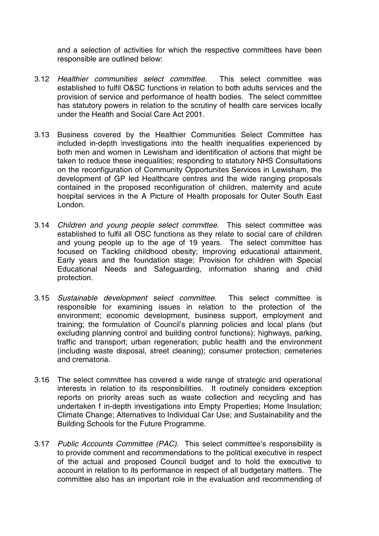and a selection of activities for which the respective committees have been responsible are outlined below:

- 3.12 Healthier communities select committee. This select committee was established to fulfil O&SC functions in relation to both adults services and the provision of service and performance of health bodies. The select committee has statutory powers in relation to the scrutiny of health care services locally under the Health and Social Care Act 2001.
- 3.13 Business covered by the Healthier Communities Select Committee has included in-depth investigations into the health inequalities experienced by both men and women in Lewisham and identification of actions that might be taken to reduce these inequalities; responding to statutory NHS Consultations on the reconfiguration of Community Opportunites Services in Lewisham, the development of GP led Healthcare centres and the wide ranging proposals contained in the proposed reconfiguration of children, maternity and acute hospital services in the A Picture of Health proposals for Outer South East London.
- 3.14 Children and young people select committee. This select committee was established to fulfil all OSC functions as they relate to social care of children and young people up to the age of 19 years. The select committee has focused on Tackling childhood obesity; Improving educational attainment, Early years and the foundation stage; Provision for children with Special Educational Needs and Safeguarding, information sharing and child protection.
- 3.15 Sustainable development select committee. This select committee is responsible for examining issues in relation to the protection of the environment; economic development, business support, employment and training; the formulation of Council's planning policies and local plans (but excluding planning control and building control functions); highways, parking, traffic and transport; urban regeneration; public health and the environment (including waste disposal, street cleaning); consumer protection; cemeteries and crematoria.
- 3.16 The select committee has covered a wide range of strategic and operational interests in relation to its responsibilities. It routinely considers exception reports on priority areas such as waste collection and recycling and has undertaken f in-depth investigations into Empty Properties; Home Insulation; Climate Change; Alternatives to Individual Car Use; and Sustainability and the Building Schools for the Future Programme.
- 3.17 Public Accounts Committee (PAC). This select committee's responsibility is to provide comment and recommendations to the political executive in respect of the actual and proposed Council budget and to hold the executive to account in relation to its performance in respect of all budgetary matters. The committee also has an important role in the evaluation and recommending of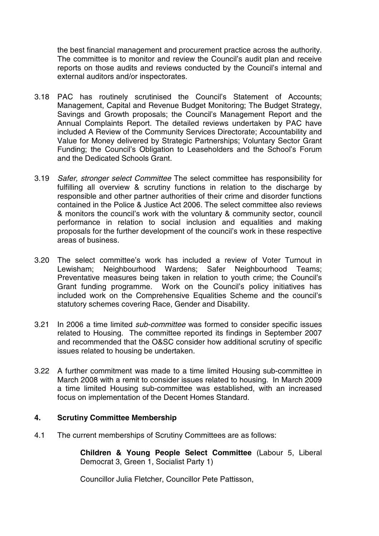the best financial management and procurement practice across the authority. The committee is to monitor and review the Council's audit plan and receive reports on those audits and reviews conducted by the Council's internal and external auditors and/or inspectorates.

- 3.18 PAC has routinely scrutinised the Council's Statement of Accounts; Management, Capital and Revenue Budget Monitoring; The Budget Strategy, Savings and Growth proposals; the Council's Management Report and the Annual Complaints Report. The detailed reviews undertaken by PAC have included A Review of the Community Services Directorate; Accountability and Value for Money delivered by Strategic Partnerships; Voluntary Sector Grant Funding; the Council's Obligation to Leaseholders and the School's Forum and the Dedicated Schools Grant.
- 3.19 Safer, stronger select Committee The select committee has responsibility for fulfilling all overview & scrutiny functions in relation to the discharge by responsible and other partner authorities of their crime and disorder functions contained in the Police & Justice Act 2006. The select committee also reviews & monitors the council's work with the voluntary & community sector, council performance in relation to social inclusion and equalities and making proposals for the further development of the council's work in these respective areas of business.
- 3.20 The select committee's work has included a review of Voter Turnout in Lewisham; Neighbourhood Wardens; Safer Neighbourhood Teams; Preventative measures being taken in relation to youth crime; the Council's Grant funding programme. Work on the Council's policy initiatives has included work on the Comprehensive Equalities Scheme and the council's statutory schemes covering Race, Gender and Disability.
- 3.21 In 2006 a time limited sub-committee was formed to consider specific issues related to Housing. The committee reported its findings in September 2007 and recommended that the O&SC consider how additional scrutiny of specific issues related to housing be undertaken.
- 3.22 A further commitment was made to a time limited Housing sub-committee in March 2008 with a remit to consider issues related to housing. In March 2009 a time limited Housing sub-committee was established, with an increased focus on implementation of the Decent Homes Standard.

### **4. Scrutiny Committee Membership**

4.1 The current memberships of Scrutiny Committees are as follows:

**Children & Young People Select Committee** (Labour 5, Liberal Democrat 3, Green 1, Socialist Party 1)

Councillor Julia Fletcher, Councillor Pete Pattisson,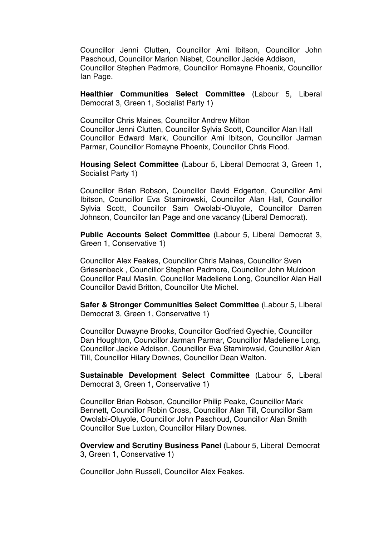Councillor Jenni Clutten, Councillor Ami Ibitson, Councillor John Paschoud, Councillor Marion Nisbet, Councillor Jackie Addison, Councillor Stephen Padmore, Councillor Romayne Phoenix, Councillor Ian Page.

**Healthier Communities Select Committee** (Labour 5, Liberal Democrat 3, Green 1, Socialist Party 1)

Councillor Chris Maines, Councillor Andrew Milton Councillor Jenni Clutten, Councillor Sylvia Scott, Councillor Alan Hall Councillor Edward Mark, Councillor Ami Ibitson, Councillor Jarman Parmar, Councillor Romayne Phoenix, Councillor Chris Flood.

**Housing Select Committee** (Labour 5, Liberal Democrat 3, Green 1, Socialist Party 1)

Councillor Brian Robson, Councillor David Edgerton, Councillor Ami Ibitson, Councillor Eva Stamirowski, Councillor Alan Hall, Councillor Sylvia Scott, Councillor Sam Owolabi-Oluyole, Councillor Darren Johnson, Councillor Ian Page and one vacancy (Liberal Democrat).

**Public Accounts Select Committee** (Labour 5, Liberal Democrat 3, Green 1, Conservative 1)

Councillor Alex Feakes, Councillor Chris Maines, Councillor Sven Griesenbeck , Councillor Stephen Padmore, Councillor John Muldoon Councillor Paul Maslin, Councillor Madeliene Long, Councillor Alan Hall Councillor David Britton, Councillor Ute Michel.

**Safer & Stronger Communities Select Committee** (Labour 5, Liberal Democrat 3, Green 1, Conservative 1)

Councillor Duwayne Brooks, Councillor Godfried Gyechie, Councillor Dan Houghton, Councillor Jarman Parmar, Councillor Madeliene Long, Councillor Jackie Addison, Councillor Eva Stamirowski, Councillor Alan Till, Councillor Hilary Downes, Councillor Dean Walton.

**Sustainable Development Select Committee** (Labour 5, Liberal Democrat 3, Green 1, Conservative 1)

Councillor Brian Robson, Councillor Philip Peake, Councillor Mark Bennett, Councillor Robin Cross, Councillor Alan Till, Councillor Sam Owolabi-Oluyole, Councillor John Paschoud, Councillor Alan Smith Councillor Sue Luxton, Councillor Hilary Downes.

**Overview and Scrutiny Business Panel** (Labour 5, Liberal Democrat 3, Green 1, Conservative 1)

Councillor John Russell, Councillor Alex Feakes.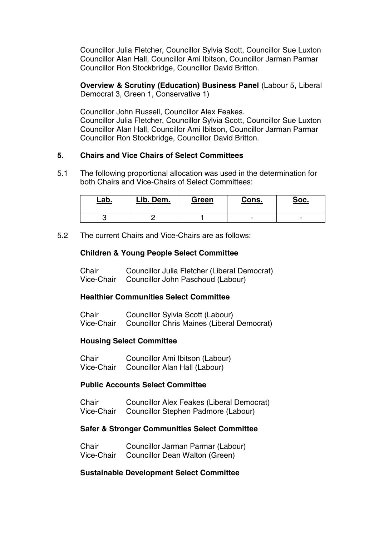Councillor Julia Fletcher, Councillor Sylvia Scott, Councillor Sue Luxton Councillor Alan Hall, Councillor Ami Ibitson, Councillor Jarman Parmar Councillor Ron Stockbridge, Councillor David Britton.

**Overview & Scrutiny (Education) Business Panel** (Labour 5, Liberal Democrat 3, Green 1, Conservative 1)

Councillor John Russell, Councillor Alex Feakes. Councillor Julia Fletcher, Councillor Sylvia Scott, Councillor Sue Luxton Councillor Alan Hall, Councillor Ami Ibitson, Councillor Jarman Parmar Councillor Ron Stockbridge, Councillor David Britton.

### **5. Chairs and Vice Chairs of Select Committees**

5.1 The following proportional allocation was used in the determination for both Chairs and Vice-Chairs of Select Committees:

| <u>Lab.</u> | Lib. Dem. | Green | Cons. | <u>Soc.</u> |
|-------------|-----------|-------|-------|-------------|
|             |           |       | -     |             |

5.2 The current Chairs and Vice-Chairs are as follows:

## **Children & Young People Select Committee**

| Chair | Councillor Julia Fletcher (Liberal Democrat) |
|-------|----------------------------------------------|
|       | Vice-Chair Councillor John Paschoud (Labour) |

## **Healthier Communities Select Committee**

| Chair | Councillor Sylvia Scott (Labour)                      |
|-------|-------------------------------------------------------|
|       | Vice-Chair Councillor Chris Maines (Liberal Democrat) |

### **Housing Select Committee**

| Chair      | Councillor Ami Ibitson (Labour) |  |
|------------|---------------------------------|--|
| Vice-Chair | Councillor Alan Hall (Labour)   |  |

### **Public Accounts Select Committee**

| Chair      | Councillor Alex Feakes (Liberal Democrat) |
|------------|-------------------------------------------|
| Vice-Chair | Councillor Stephen Padmore (Labour)       |

### **Safer & Stronger Communities Select Committee**

| Chair | Councillor Jarman Parmar (Labour)         |
|-------|-------------------------------------------|
|       | Vice-Chair Councillor Dean Walton (Green) |

### **Sustainable Development Select Committee**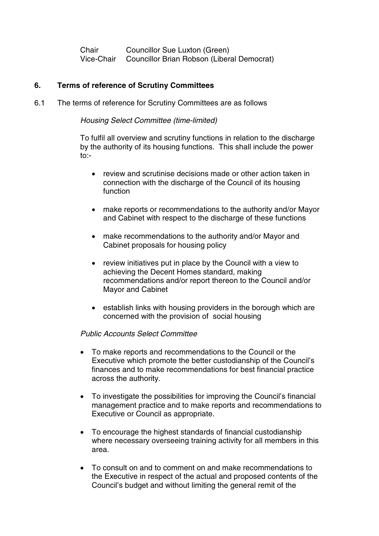Chair Councillor Sue Luxton (Green) Vice-Chair Councillor Brian Robson (Liberal Democrat)

## **6. Terms of reference of Scrutiny Committees**

6.1 The terms of reference for Scrutiny Committees are as follows

Housing Select Committee (time-limited)

To fulfil all overview and scrutiny functions in relation to the discharge by the authority of its housing functions. This shall include the power to:-

- review and scrutinise decisions made or other action taken in connection with the discharge of the Council of its housing function
- make reports or recommendations to the authority and/or Mayor and Cabinet with respect to the discharge of these functions
- make recommendations to the authority and/or Mayor and Cabinet proposals for housing policy
- review initiatives put in place by the Council with a view to achieving the Decent Homes standard, making recommendations and/or report thereon to the Council and/or Mayor and Cabinet
- establish links with housing providers in the borough which are concerned with the provision of social housing

### Public Accounts Select Committee

- To make reports and recommendations to the Council or the Executive which promote the better custodianship of the Council's finances and to make recommendations for best financial practice across the authority.
- To investigate the possibilities for improving the Council's financial management practice and to make reports and recommendations to Executive or Council as appropriate.
- To encourage the highest standards of financial custodianship where necessary overseeing training activity for all members in this area.
- To consult on and to comment on and make recommendations to the Executive in respect of the actual and proposed contents of the Council's budget and without limiting the general remit of the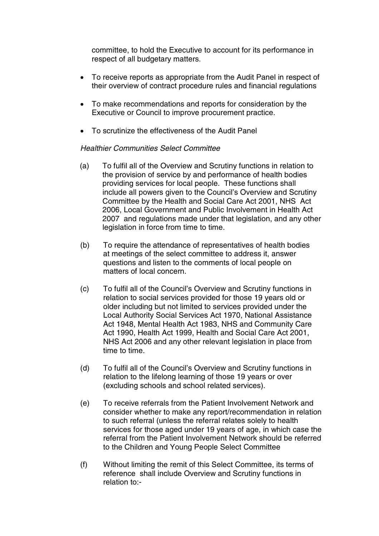committee, to hold the Executive to account for its performance in respect of all budgetary matters.

- To receive reports as appropriate from the Audit Panel in respect of their overview of contract procedure rules and financial regulations
- To make recommendations and reports for consideration by the Executive or Council to improve procurement practice.
- To scrutinize the effectiveness of the Audit Panel

## Healthier Communities Select Committee

- (a) To fulfil all of the Overview and Scrutiny functions in relation to the provision of service by and performance of health bodies providing services for local people. These functions shall include all powers given to the Council's Overview and Scrutiny Committee by the Health and Social Care Act 2001, NHS Act 2006, Local Government and Public Involvement in Health Act 2007 and regulations made under that legislation, and any other legislation in force from time to time.
- (b) To require the attendance of representatives of health bodies at meetings of the select committee to address it, answer questions and listen to the comments of local people on matters of local concern.
- (c) To fulfil all of the Council's Overview and Scrutiny functions in relation to social services provided for those 19 years old or older including but not limited to services provided under the Local Authority Social Services Act 1970, National Assistance Act 1948, Mental Health Act 1983, NHS and Community Care Act 1990, Health Act 1999, Health and Social Care Act 2001, NHS Act 2006 and any other relevant legislation in place from time to time.
- (d) To fulfil all of the Council's Overview and Scrutiny functions in relation to the lifelong learning of those 19 years or over (excluding schools and school related services).
- (e) To receive referrals from the Patient Involvement Network and consider whether to make any report/recommendation in relation to such referral (unless the referral relates solely to health services for those aged under 19 years of age, in which case the referral from the Patient Involvement Network should be referred to the Children and Young People Select Committee
- (f) Without limiting the remit of this Select Committee, its terms of reference shall include Overview and Scrutiny functions in relation to:-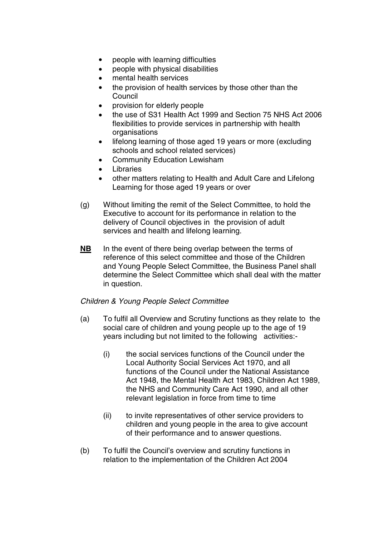- people with learning difficulties
- people with physical disabilities
- mental health services
- the provision of health services by those other than the **Council**
- provision for elderly people
- the use of S31 Health Act 1999 and Section 75 NHS Act 2006 flexibilities to provide services in partnership with health organisations
- lifelong learning of those aged 19 years or more (excluding schools and school related services)
- Community Education Lewisham
- **Libraries**
- other matters relating to Health and Adult Care and Lifelong Learning for those aged 19 years or over
- (g) Without limiting the remit of the Select Committee, to hold the Executive to account for its performance in relation to the delivery of Council objectives in the provision of adult services and health and lifelong learning.
- **NB** In the event of there being overlap between the terms of reference of this select committee and those of the Children and Young People Select Committee, the Business Panel shall determine the Select Committee which shall deal with the matter in question.

## Children & Young People Select Committee

- (a) To fulfil all Overview and Scrutiny functions as they relate to the social care of children and young people up to the age of 19 years including but not limited to the following activities:-
	- (i) the social services functions of the Council under the Local Authority Social Services Act 1970, and all functions of the Council under the National Assistance Act 1948, the Mental Health Act 1983, Children Act 1989, the NHS and Community Care Act 1990, and all other relevant legislation in force from time to time
	- (ii) to invite representatives of other service providers to children and young people in the area to give account of their performance and to answer questions.
- (b) To fulfil the Council's overview and scrutiny functions in relation to the implementation of the Children Act 2004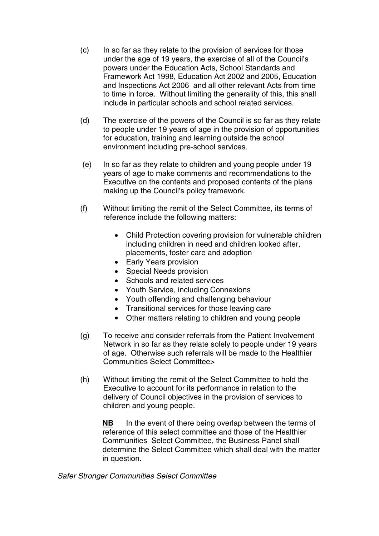- (c) In so far as they relate to the provision of services for those under the age of 19 years, the exercise of all of the Council's powers under the Education Acts, School Standards and Framework Act 1998, Education Act 2002 and 2005, Education and Inspections Act 2006 and all other relevant Acts from time to time in force. Without limiting the generality of this, this shall include in particular schools and school related services.
- (d) The exercise of the powers of the Council is so far as they relate to people under 19 years of age in the provision of opportunities for education, training and learning outside the school environment including pre-school services.
- (e) In so far as they relate to children and young people under 19 years of age to make comments and recommendations to the Executive on the contents and proposed contents of the plans making up the Council's policy framework.
- (f) Without limiting the remit of the Select Committee, its terms of reference include the following matters:
	- Child Protection covering provision for vulnerable children including children in need and children looked after, placements, foster care and adoption
	- Early Years provision
	- Special Needs provision
	- Schools and related services
	- Youth Service, including Connexions
	- Youth offending and challenging behaviour
	- Transitional services for those leaving care
	- Other matters relating to children and young people
- (g) To receive and consider referrals from the Patient Involvement Network in so far as they relate solely to people under 19 years of age. Otherwise such referrals will be made to the Healthier Communities Select Committee>
- (h) Without limiting the remit of the Select Committee to hold the Executive to account for its performance in relation to the delivery of Council objectives in the provision of services to children and young people.

**NB** In the event of there being overlap between the terms of reference of this select committee and those of the Healthier Communities Select Committee, the Business Panel shall determine the Select Committee which shall deal with the matter in question.

## Safer Stronger Communities Select Committee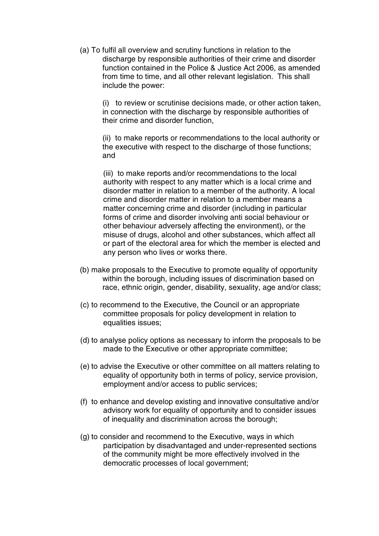(a) To fulfil all overview and scrutiny functions in relation to the discharge by responsible authorities of their crime and disorder function contained in the Police & Justice Act 2006, as amended from time to time, and all other relevant legislation. This shall include the power:

(i) to review or scrutinise decisions made, or other action taken, in connection with the discharge by responsible authorities of their crime and disorder function,

(ii) to make reports or recommendations to the local authority or the executive with respect to the discharge of those functions; and

(iii) to make reports and/or recommendations to the local authority with respect to any matter which is a local crime and disorder matter in relation to a member of the authority. A local crime and disorder matter in relation to a member means a matter concerning crime and disorder (including in particular forms of crime and disorder involving anti social behaviour or other behaviour adversely affecting the environment), or the misuse of drugs, alcohol and other substances, which affect all or part of the electoral area for which the member is elected and any person who lives or works there.

- (b) make proposals to the Executive to promote equality of opportunity within the borough, including issues of discrimination based on race, ethnic origin, gender, disability, sexuality, age and/or class;
- (c) to recommend to the Executive, the Council or an appropriate committee proposals for policy development in relation to equalities issues;
- (d) to analyse policy options as necessary to inform the proposals to be made to the Executive or other appropriate committee;
- (e) to advise the Executive or other committee on all matters relating to equality of opportunity both in terms of policy, service provision, employment and/or access to public services;
- (f) to enhance and develop existing and innovative consultative and/or advisory work for equality of opportunity and to consider issues of inequality and discrimination across the borough;
- (g) to consider and recommend to the Executive, ways in which participation by disadvantaged and under-represented sections of the community might be more effectively involved in the democratic processes of local government;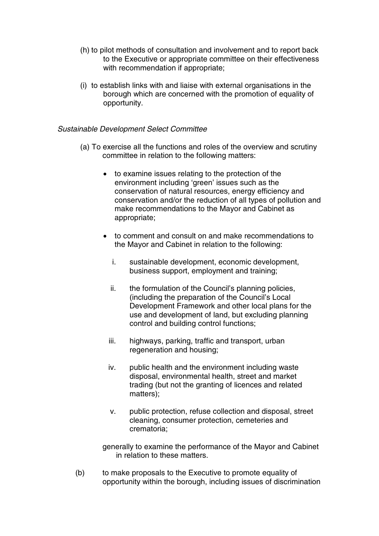- (h) to pilot methods of consultation and involvement and to report back to the Executive or appropriate committee on their effectiveness with recommendation if appropriate;
- (i) to establish links with and liaise with external organisations in the borough which are concerned with the promotion of equality of opportunity.

### Sustainable Development Select Committee

- (a) To exercise all the functions and roles of the overview and scrutiny committee in relation to the following matters:
	- to examine issues relating to the protection of the environment including 'green' issues such as the conservation of natural resources, energy efficiency and conservation and/or the reduction of all types of pollution and make recommendations to the Mayor and Cabinet as appropriate;
	- to comment and consult on and make recommendations to the Mayor and Cabinet in relation to the following:
		- i. sustainable development, economic development, business support, employment and training;
		- ii. the formulation of the Council's planning policies, (including the preparation of the Council's Local Development Framework and other local plans for the use and development of land, but excluding planning control and building control functions;
		- iii. highways, parking, traffic and transport, urban regeneration and housing;
		- iv. public health and the environment including waste disposal, environmental health, street and market trading (but not the granting of licences and related matters);
		- v. public protection, refuse collection and disposal, street cleaning, consumer protection, cemeteries and crematoria;

generally to examine the performance of the Mayor and Cabinet in relation to these matters.

(b) to make proposals to the Executive to promote equality of opportunity within the borough, including issues of discrimination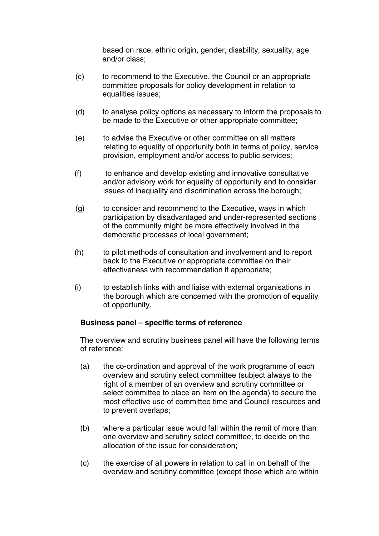based on race, ethnic origin, gender, disability, sexuality, age and/or class;

- (c) to recommend to the Executive, the Council or an appropriate committee proposals for policy development in relation to equalities issues;
- (d) to analyse policy options as necessary to inform the proposals to be made to the Executive or other appropriate committee;
- (e) to advise the Executive or other committee on all matters relating to equality of opportunity both in terms of policy, service provision, employment and/or access to public services;
- (f) to enhance and develop existing and innovative consultative and/or advisory work for equality of opportunity and to consider issues of inequality and discrimination across the borough;
- (g) to consider and recommend to the Executive, ways in which participation by disadvantaged and under-represented sections of the community might be more effectively involved in the democratic processes of local government;
- (h) to pilot methods of consultation and involvement and to report back to the Executive or appropriate committee on their effectiveness with recommendation if appropriate;
- (i) to establish links with and liaise with external organisations in the borough which are concerned with the promotion of equality of opportunity.

## **Business panel – specific terms of reference**

The overview and scrutiny business panel will have the following terms of reference:

- (a) the co-ordination and approval of the work programme of each overview and scrutiny select committee (subject always to the right of a member of an overview and scrutiny committee or select committee to place an item on the agenda) to secure the most effective use of committee time and Council resources and to prevent overlaps;
- (b) where a particular issue would fall within the remit of more than one overview and scrutiny select committee, to decide on the allocation of the issue for consideration;
- (c) the exercise of all powers in relation to call in on behalf of the overview and scrutiny committee (except those which are within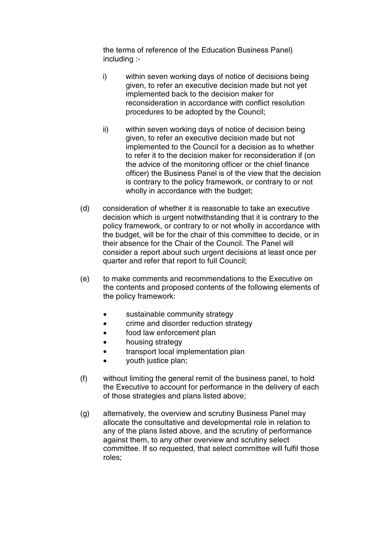the terms of reference of the Education Business Panel) including :-

- i) within seven working days of notice of decisions being given, to refer an executive decision made but not yet implemented back to the decision maker for reconsideration in accordance with conflict resolution procedures to be adopted by the Council;
- ii) within seven working days of notice of decision being given, to refer an executive decision made but not implemented to the Council for a decision as to whether to refer it to the decision maker for reconsideration if (on the advice of the monitoring officer or the chief finance officer) the Business Panel is of the view that the decision is contrary to the policy framework, or contrary to or not wholly in accordance with the budget;
- (d) consideration of whether it is reasonable to take an executive decision which is urgent notwithstanding that it is contrary to the policy framework, or contrary to or not wholly in accordance with the budget, will be for the chair of this committee to decide, or in their absence for the Chair of the Council. The Panel will consider a report about such urgent decisions at least once per quarter and refer that report to full Council;
- (e) to make comments and recommendations to the Executive on the contents and proposed contents of the following elements of the policy framework:
	- sustainable community strategy
	- crime and disorder reduction strategy
	- food law enforcement plan
	- housing strategy
	- transport local implementation plan
	- vouth justice plan:
- (f) without limiting the general remit of the business panel, to hold the Executive to account for performance in the delivery of each of those strategies and plans listed above;
- (g) alternatively, the overview and scrutiny Business Panel may allocate the consultative and developmental role in relation to any of the plans listed above, and the scrutiny of performance against them, to any other overview and scrutiny select committee. If so requested, that select committee will fulfil those roles;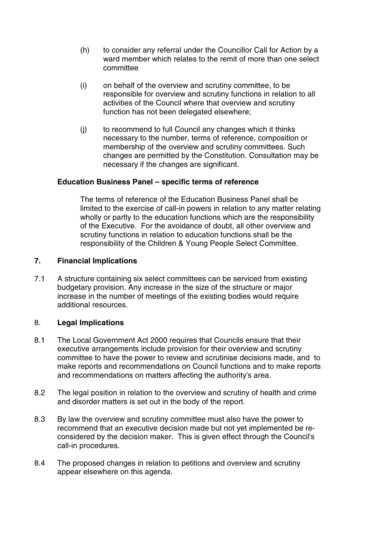- (h) to consider any referral under the Councillor Call for Action by a ward member which relates to the remit of more than one select committee
- (i) on behalf of the overview and scrutiny committee, to be responsible for overview and scrutiny functions in relation to all activities of the Council where that overview and scrutiny function has not been delegated elsewhere;
- (j) to recommend to full Council any changes which it thinks necessary to the number, terms of reference, composition or membership of the overview and scrutiny committees. Such changes are permitted by the Constitution. Consultation may be necessary if the changes are significant.

## **Education Business Panel – specific terms of reference**

The terms of reference of the Education Business Panel shall be limited to the exercise of call-in powers in relation to any matter relating wholly or partly to the education functions which are the responsibility of the Executive. For the avoidance of doubt, all other overview and scrutiny functions in relation to education functions shall be the responsibility of the Children & Young People Select Committee.

## **7. Financial Implications**

7.1 A structure containing six select committees can be serviced from existing budgetary provision. Any increase in the size of the structure or major increase in the number of meetings of the existing bodies would require additional resources.

## 8. **Legal Implications**

- 8.1 The Local Government Act 2000 requires that Councils ensure that their executive arrangements include provision for their overview and scrutiny committee to have the power to review and scrutinise decisions made, and to make reports and recommendations on Council functions and to make reports and recommendations on matters affecting the authority's area.
- 8.2 The legal position in relation to the overview and scrutiny of health and crime and disorder matters is set out in the body of the report.
- 8.3 By law the overview and scrutiny committee must also have the power to recommend that an executive decision made but not yet implemented be reconsidered by the decision maker. This is given effect through the Council's call-in procedures.
- 8.4 The proposed changes in relation to petitions and overview and scrutiny appear elsewhere on this agenda.